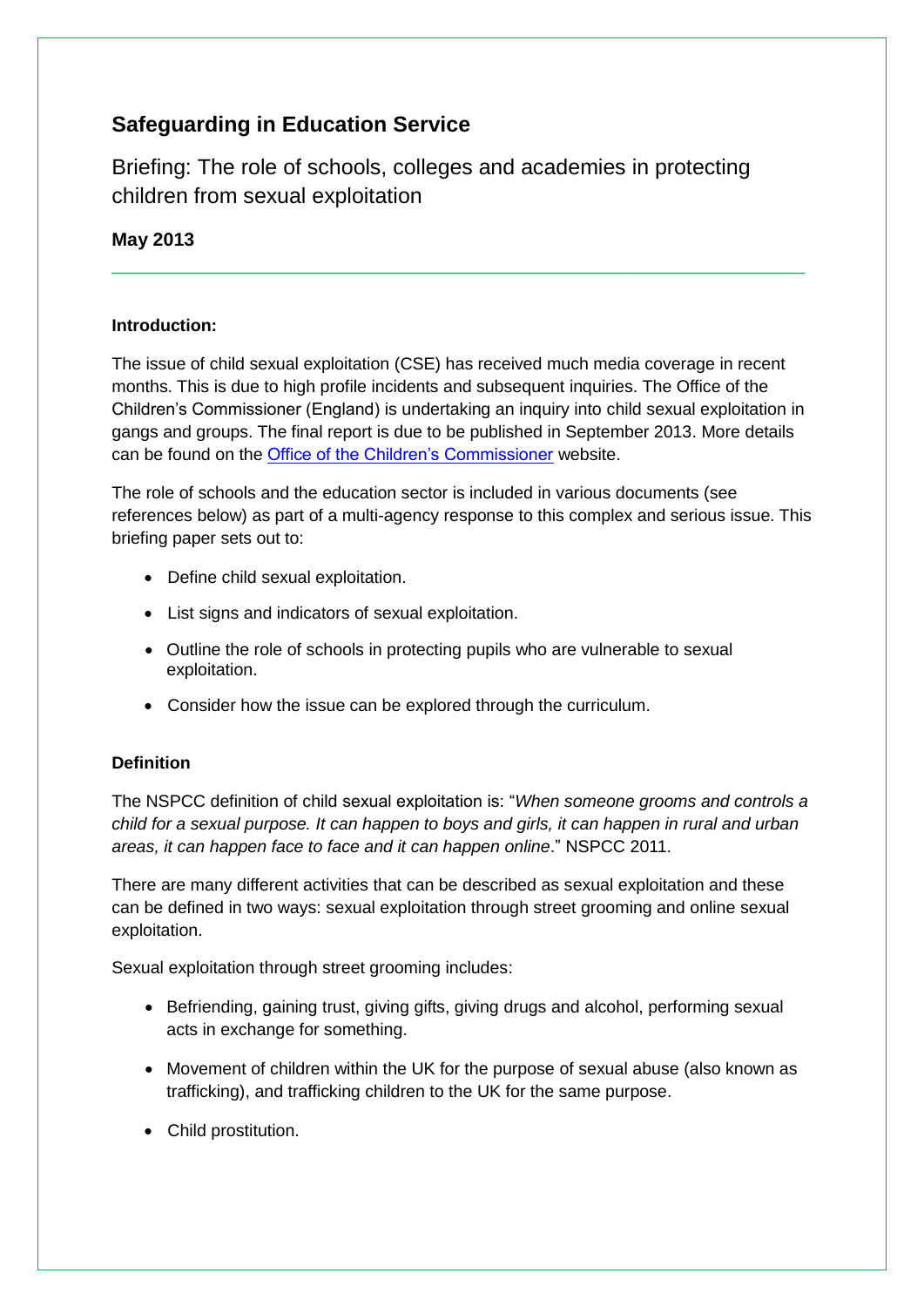# **Safeguarding in Education Service**

Briefing: The role of schools, colleges and academies in protecting children from sexual exploitation

# **May 2013**

## **Introduction:**

The issue of child sexual exploitation (CSE) has received much media coverage in recent months. This is due to high profile incidents and subsequent inquiries. The Office of the Children"s Commissioner (England) is undertaking an inquiry into child sexual exploitation in gangs and groups. The final report is due to be published in September 2013. More details can be found on the [Office of the Children"s Commissioner](http://www.childrenscommissioner.gov.uk/info/csegg1) website.

\_\_\_\_\_\_\_\_\_\_\_\_\_\_\_\_\_\_\_\_\_\_\_\_\_\_\_\_\_\_\_\_\_\_\_\_\_\_\_\_\_\_\_\_\_\_\_\_\_\_\_\_\_\_\_\_\_\_\_\_\_\_\_\_\_\_\_

The role of schools and the education sector is included in various documents (see references below) as part of a multi-agency response to this complex and serious issue. This briefing paper sets out to:

- Define child sexual exploitation.
- List signs and indicators of sexual exploitation.
- Outline the role of schools in protecting pupils who are vulnerable to sexual exploitation.
- Consider how the issue can be explored through the curriculum.

# **Definition**

The NSPCC definition of child sexual exploitation is: "*When someone grooms and controls a child for a sexual purpose. It can happen to boys and girls, it can happen in rural and urban areas, it can happen face to face and it can happen online*." NSPCC 2011.

There are many different activities that can be described as sexual exploitation and these can be defined in two ways: sexual exploitation through street grooming and online sexual exploitation.

Sexual exploitation through street grooming includes:

- Befriending, gaining trust, giving gifts, giving drugs and alcohol, performing sexual acts in exchange for something.
- Movement of children within the UK for the purpose of sexual abuse (also known as trafficking), and trafficking children to the UK for the same purpose.
- Child prostitution.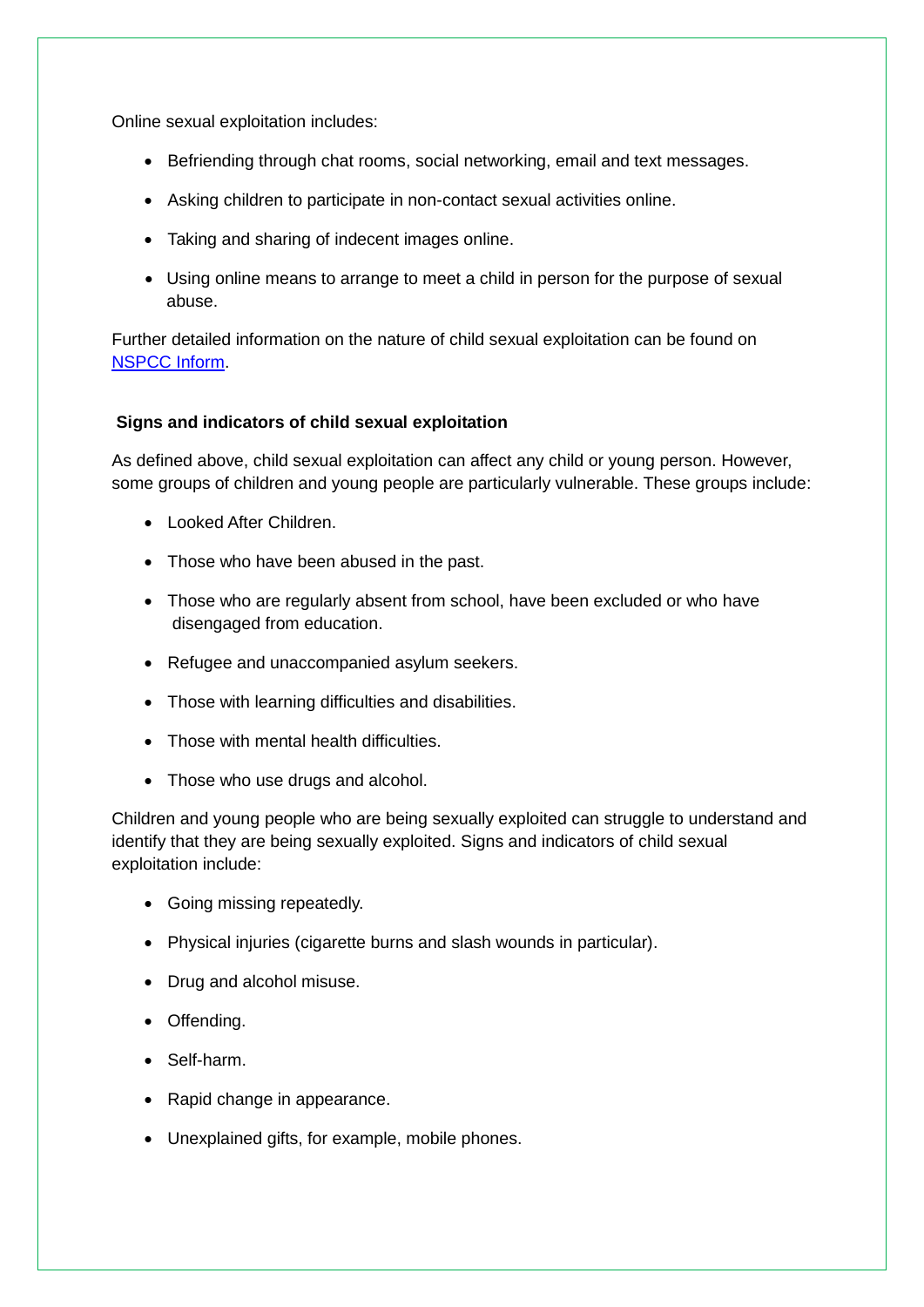Online sexual exploitation includes:

- Befriending through chat rooms, social networking, email and text messages.
- Asking children to participate in non-contact sexual activities online.
- Taking and sharing of indecent images online.
- Using online means to arrange to meet a child in person for the purpose of sexual abuse.

Further detailed information on the nature of child sexual exploitation can be found on [NSPCC Inform.](http://www.nspcc.org.uk/Inform/resourcesforprofessionals/sexualabuse/sexual_exploitation_wda83207.html)

#### **Signs and indicators of child sexual exploitation**

As defined above, child sexual exploitation can affect any child or young person. However, some groups of children and young people are particularly vulnerable. These groups include:

- **.** Looked After Children.
- Those who have been abused in the past.
- Those who are regularly absent from school, have been excluded or who have disengaged from education.
- Refugee and unaccompanied asylum seekers.
- Those with learning difficulties and disabilities.
- Those with mental health difficulties
- Those who use drugs and alcohol.

Children and young people who are being sexually exploited can struggle to understand and identify that they are being sexually exploited. Signs and indicators of child sexual exploitation include:

- Going missing repeatedly.
- Physical injuries (cigarette burns and slash wounds in particular).
- Drug and alcohol misuse.
- Offending.
- Self-harm.
- Rapid change in appearance.
- Unexplained gifts, for example, mobile phones.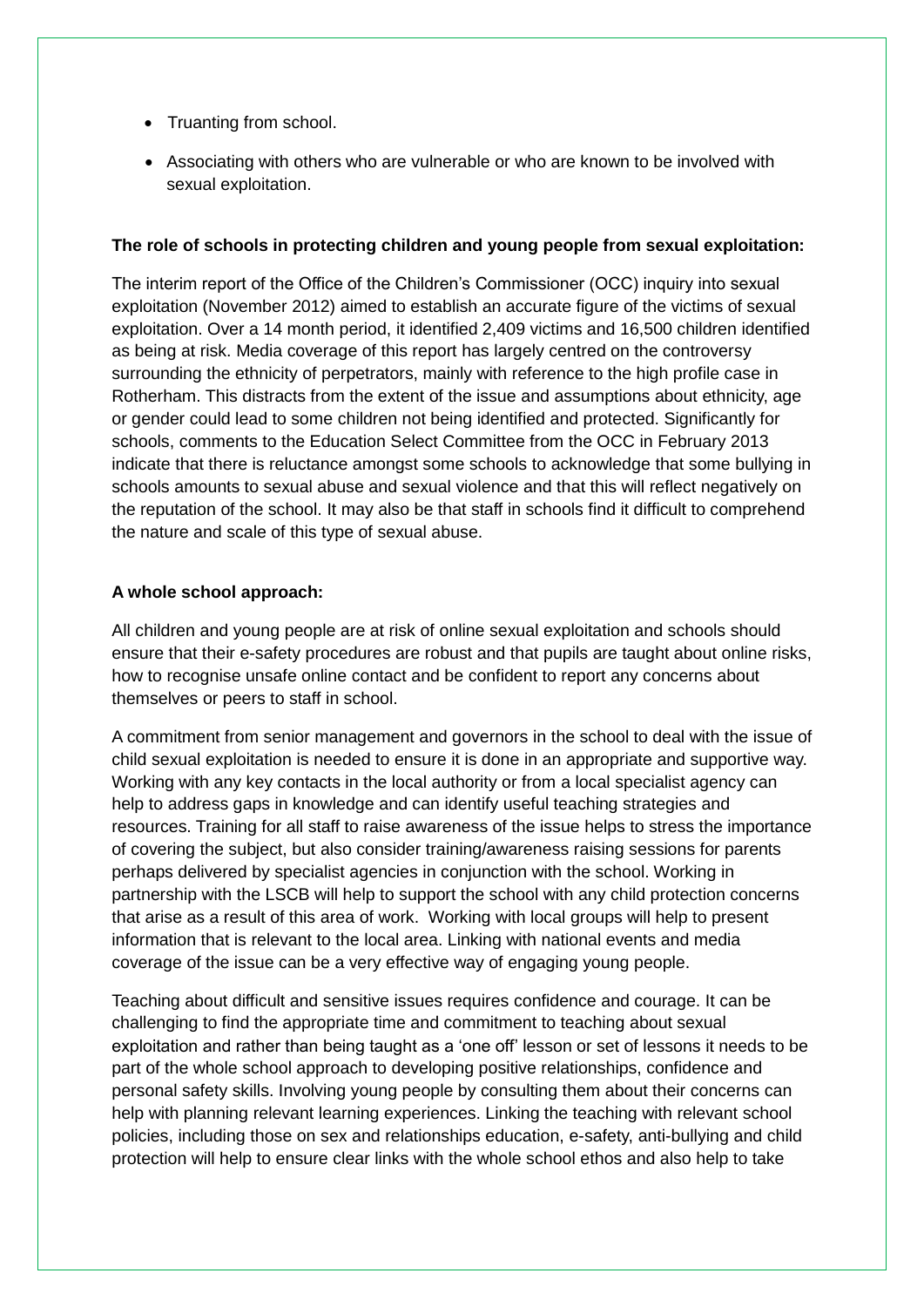- Truanting from school.
- Associating with others who are vulnerable or who are known to be involved with sexual exploitation.

#### **The role of schools in protecting children and young people from sexual exploitation:**

The interim report of the Office of the Children"s Commissioner (OCC) inquiry into sexual exploitation (November 2012) aimed to establish an accurate figure of the victims of sexual exploitation. Over a 14 month period, it identified 2,409 victims and 16,500 children identified as being at risk. Media coverage of this report has largely centred on the controversy surrounding the ethnicity of perpetrators, mainly with reference to the high profile case in Rotherham. This distracts from the extent of the issue and assumptions about ethnicity, age or gender could lead to some children not being identified and protected. Significantly for schools, comments to the Education Select Committee from the OCC in February 2013 indicate that there is reluctance amongst some schools to acknowledge that some bullying in schools amounts to sexual abuse and sexual violence and that this will reflect negatively on the reputation of the school. It may also be that staff in schools find it difficult to comprehend the nature and scale of this type of sexual abuse.

#### **A whole school approach:**

All children and young people are at risk of online sexual exploitation and schools should ensure that their e-safety procedures are robust and that pupils are taught about online risks, how to recognise unsafe online contact and be confident to report any concerns about themselves or peers to staff in school.

A commitment from senior management and governors in the school to deal with the issue of child sexual exploitation is needed to ensure it is done in an appropriate and supportive way. Working with any key contacts in the local authority or from a local specialist agency can help to address gaps in knowledge and can identify useful teaching strategies and resources. Training for all staff to raise awareness of the issue helps to stress the importance of covering the subject, but also consider training/awareness raising sessions for parents perhaps delivered by specialist agencies in conjunction with the school. Working in partnership with the LSCB will help to support the school with any child protection concerns that arise as a result of this area of work. Working with local groups will help to present information that is relevant to the local area. Linking with national events and media coverage of the issue can be a very effective way of engaging young people.

Teaching about difficult and sensitive issues requires confidence and courage. It can be challenging to find the appropriate time and commitment to teaching about sexual exploitation and rather than being taught as a "one off" lesson or set of lessons it needs to be part of the whole school approach to developing positive relationships, confidence and personal safety skills. Involving young people by consulting them about their concerns can help with planning relevant learning experiences. Linking the teaching with relevant school policies, including those on sex and relationships education, e-safety, anti-bullying and child protection will help to ensure clear links with the whole school ethos and also help to take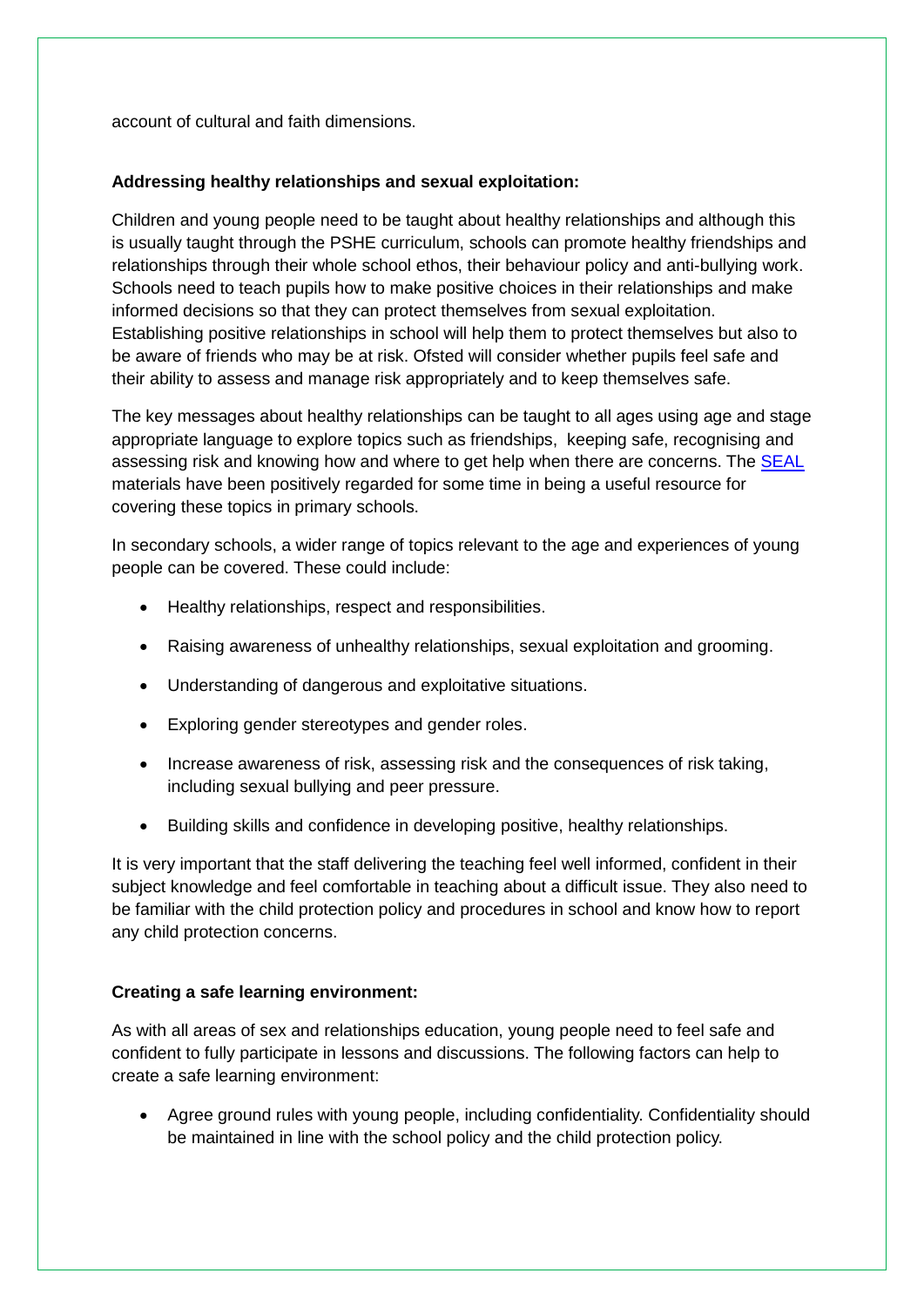account of cultural and faith dimensions.

## **Addressing healthy relationships and sexual exploitation:**

Children and young people need to be taught about healthy relationships and although this is usually taught through the PSHE curriculum, schools can promote healthy friendships and relationships through their whole school ethos, their behaviour policy and anti-bullying work. Schools need to teach pupils how to make positive choices in their relationships and make informed decisions so that they can protect themselves from sexual exploitation. Establishing positive relationships in school will help them to protect themselves but also to be aware of friends who may be at risk. Ofsted will consider whether pupils feel safe and their ability to assess and manage risk appropriately and to keep themselves safe.

The key messages about healthy relationships can be taught to all ages using age and stage appropriate language to explore topics such as friendships, keeping safe, recognising and assessing risk and knowing how and where to get help when there are concerns. The [SEAL](http://webarchive.nationalarchives.gov.uk/20110809101133/nsonline.org.uk/node/87009) materials have been positively regarded for some time in being a useful resource for covering these topics in primary schools.

In secondary schools, a wider range of topics relevant to the age and experiences of young people can be covered. These could include:

- Healthy relationships, respect and responsibilities.
- Raising awareness of unhealthy relationships, sexual exploitation and grooming.
- Understanding of dangerous and exploitative situations.
- Exploring gender stereotypes and gender roles.
- Increase awareness of risk, assessing risk and the consequences of risk taking, including sexual bullying and peer pressure.
- Building skills and confidence in developing positive, healthy relationships.

It is very important that the staff delivering the teaching feel well informed, confident in their subject knowledge and feel comfortable in teaching about a difficult issue. They also need to be familiar with the child protection policy and procedures in school and know how to report any child protection concerns.

# **Creating a safe learning environment:**

As with all areas of sex and relationships education, young people need to feel safe and confident to fully participate in lessons and discussions. The following factors can help to create a safe learning environment:

 Agree ground rules with young people, including confidentiality. Confidentiality should be maintained in line with the school policy and the child protection policy.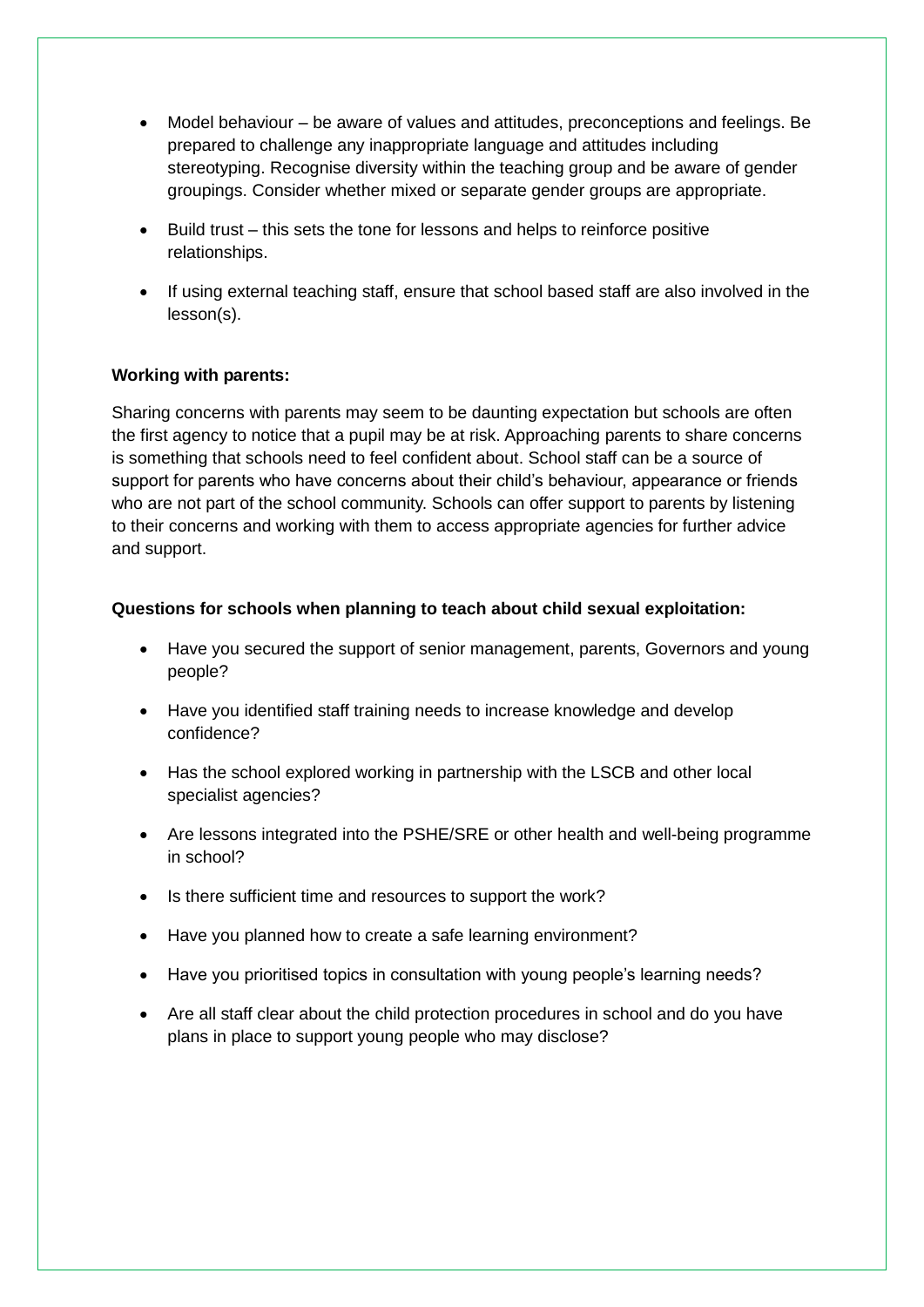- Model behaviour be aware of values and attitudes, preconceptions and feelings. Be prepared to challenge any inappropriate language and attitudes including stereotyping. Recognise diversity within the teaching group and be aware of gender groupings. Consider whether mixed or separate gender groups are appropriate.
- Build trust this sets the tone for lessons and helps to reinforce positive relationships.
- If using external teaching staff, ensure that school based staff are also involved in the lesson(s).

## **Working with parents:**

Sharing concerns with parents may seem to be daunting expectation but schools are often the first agency to notice that a pupil may be at risk. Approaching parents to share concerns is something that schools need to feel confident about. School staff can be a source of support for parents who have concerns about their child"s behaviour, appearance or friends who are not part of the school community. Schools can offer support to parents by listening to their concerns and working with them to access appropriate agencies for further advice and support.

#### **Questions for schools when planning to teach about child sexual exploitation:**

- Have you secured the support of senior management, parents, Governors and young people?
- Have you identified staff training needs to increase knowledge and develop confidence?
- Has the school explored working in partnership with the LSCB and other local specialist agencies?
- Are lessons integrated into the PSHE/SRE or other health and well-being programme in school?
- Is there sufficient time and resources to support the work?
- Have you planned how to create a safe learning environment?
- Have you prioritised topics in consultation with young people's learning needs?
- Are all staff clear about the child protection procedures in school and do you have plans in place to support young people who may disclose?